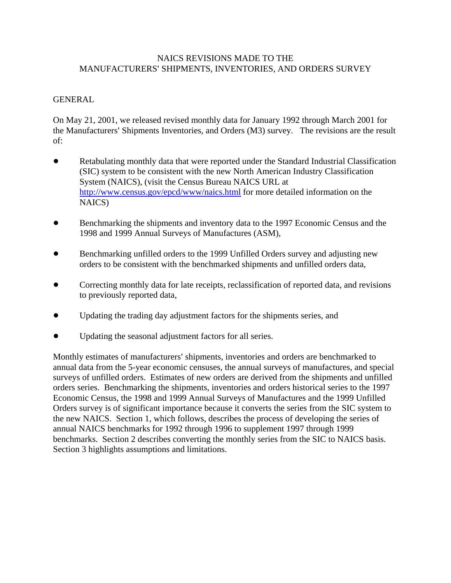## NAICS REVISIONS MADE TO THE MANUFACTURERS' SHIPMENTS, INVENTORIES, AND ORDERS SURVEY

# GENERAL

On May 21, 2001, we released revised monthly data for January 1992 through March 2001 for the Manufacturers' Shipments Inventories, and Orders (M3) survey. The revisions are the result of:

- ! Retabulating monthly data that were reported under the Standard Industrial Classification (SIC) system to be consistent with the new North American Industry Classification System (NAICS), (visit the Census Bureau NAICS URL at http://www.census.gov/epcd/www/naics.html for more detailed information on the NAICS)
- ! Benchmarking the shipments and inventory data to the 1997 Economic Census and the 1998 and 1999 Annual Surveys of Manufactures (ASM),
- ! Benchmarking unfilled orders to the 1999 Unfilled Orders survey and adjusting new orders to be consistent with the benchmarked shipments and unfilled orders data,
- Correcting monthly data for late receipts, reclassification of reported data, and revisions to previously reported data,
- ! Updating the trading day adjustment factors for the shipments series, and
- ! Updating the seasonal adjustment factors for all series.

Monthly estimates of manufacturers' shipments, inventories and orders are benchmarked to annual data from the 5-year economic censuses, the annual surveys of manufactures, and special surveys of unfilled orders. Estimates of new orders are derived from the shipments and unfilled orders series. Benchmarking the shipments, inventories and orders historical series to the 1997 Economic Census, the 1998 and 1999 Annual Surveys of Manufactures and the 1999 Unfilled Orders survey is of significant importance because it converts the series from the SIC system to the new NAICS. Section 1, which follows, describes the process of developing the series of annual NAICS benchmarks for 1992 through 1996 to supplement 1997 through 1999 benchmarks. Section 2 describes converting the monthly series from the SIC to NAICS basis. Section 3 highlights assumptions and limitations.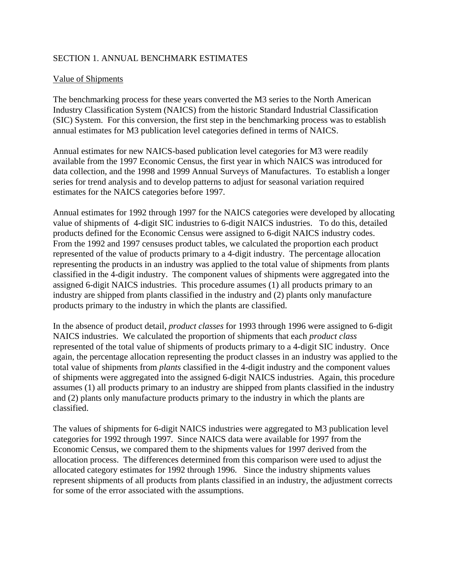# SECTION 1. ANNUAL BENCHMARK ESTIMATES

## Value of Shipments

The benchmarking process for these years converted the M3 series to the North American Industry Classification System (NAICS) from the historic Standard Industrial Classification (SIC) System. For this conversion, the first step in the benchmarking process was to establish annual estimates for M3 publication level categories defined in terms of NAICS.

Annual estimates for new NAICS-based publication level categories for M3 were readily available from the 1997 Economic Census, the first year in which NAICS was introduced for data collection, and the 1998 and 1999 Annual Surveys of Manufactures. To establish a longer series for trend analysis and to develop patterns to adjust for seasonal variation required estimates for the NAICS categories before 1997.

Annual estimates for 1992 through 1997 for the NAICS categories were developed by allocating value of shipments of 4-digit SIC industries to 6-digit NAICS industries. To do this, detailed products defined for the Economic Census were assigned to 6-digit NAICS industry codes. From the 1992 and 1997 censuses product tables, we calculated the proportion each product represented of the value of products primary to a 4-digit industry. The percentage allocation representing the products in an industry was applied to the total value of shipments from plants classified in the 4-digit industry. The component values of shipments were aggregated into the assigned 6-digit NAICS industries. This procedure assumes (1) all products primary to an industry are shipped from plants classified in the industry and (2) plants only manufacture products primary to the industry in which the plants are classified.

In the absence of product detail, *product classes* for 1993 through 1996 were assigned to 6-digit NAICS industries. We calculated the proportion of shipments that each *product class* represented of the total value of shipments of products primary to a 4-digit SIC industry. Once again, the percentage allocation representing the product classes in an industry was applied to the total value of shipments from *plants* classified in the 4-digit industry and the component values of shipments were aggregated into the assigned 6-digit NAICS industries. Again, this procedure assumes (1) all products primary to an industry are shipped from plants classified in the industry and (2) plants only manufacture products primary to the industry in which the plants are classified.

The values of shipments for 6-digit NAICS industries were aggregated to M3 publication level categories for 1992 through 1997. Since NAICS data were available for 1997 from the Economic Census, we compared them to the shipments values for 1997 derived from the allocation process. The differences determined from this comparison were used to adjust the allocated category estimates for 1992 through 1996. Since the industry shipments values represent shipments of all products from plants classified in an industry, the adjustment corrects for some of the error associated with the assumptions.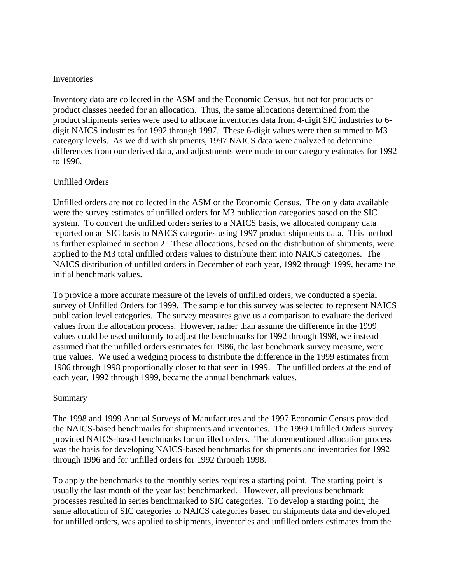#### Inventories

Inventory data are collected in the ASM and the Economic Census, but not for products or product classes needed for an allocation. Thus, the same allocations determined from the product shipments series were used to allocate inventories data from 4-digit SIC industries to 6 digit NAICS industries for 1992 through 1997. These 6-digit values were then summed to M3 category levels. As we did with shipments, 1997 NAICS data were analyzed to determine differences from our derived data, and adjustments were made to our category estimates for 1992 to 1996.

### Unfilled Orders

Unfilled orders are not collected in the ASM or the Economic Census. The only data available were the survey estimates of unfilled orders for M3 publication categories based on the SIC system. To convert the unfilled orders series to a NAICS basis, we allocated company data reported on an SIC basis to NAICS categories using 1997 product shipments data. This method is further explained in section 2. These allocations, based on the distribution of shipments, were applied to the M3 total unfilled orders values to distribute them into NAICS categories. The NAICS distribution of unfilled orders in December of each year, 1992 through 1999, became the initial benchmark values.

To provide a more accurate measure of the levels of unfilled orders, we conducted a special survey of Unfilled Orders for 1999. The sample for this survey was selected to represent NAICS publication level categories. The survey measures gave us a comparison to evaluate the derived values from the allocation process. However, rather than assume the difference in the 1999 values could be used uniformly to adjust the benchmarks for 1992 through 1998, we instead assumed that the unfilled orders estimates for 1986, the last benchmark survey measure, were true values. We used a wedging process to distribute the difference in the 1999 estimates from 1986 through 1998 proportionally closer to that seen in 1999. The unfilled orders at the end of each year, 1992 through 1999, became the annual benchmark values.

#### Summary

The 1998 and 1999 Annual Surveys of Manufactures and the 1997 Economic Census provided the NAICS-based benchmarks for shipments and inventories. The 1999 Unfilled Orders Survey provided NAICS-based benchmarks for unfilled orders. The aforementioned allocation process was the basis for developing NAICS-based benchmarks for shipments and inventories for 1992 through 1996 and for unfilled orders for 1992 through 1998.

To apply the benchmarks to the monthly series requires a starting point. The starting point is usually the last month of the year last benchmarked. However, all previous benchmark processes resulted in series benchmarked to SIC categories. To develop a starting point, the same allocation of SIC categories to NAICS categories based on shipments data and developed for unfilled orders, was applied to shipments, inventories and unfilled orders estimates from the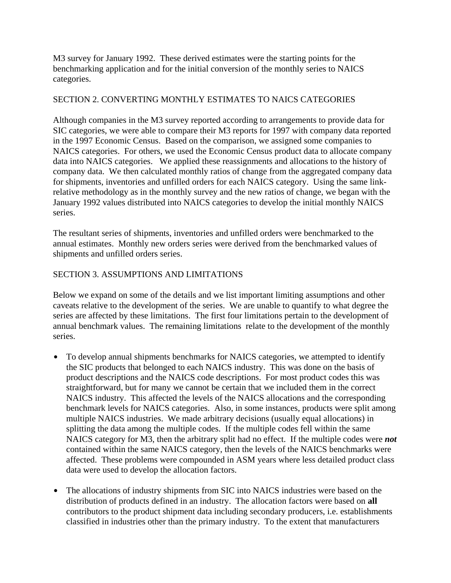M3 survey for January 1992. These derived estimates were the starting points for the benchmarking application and for the initial conversion of the monthly series to NAICS categories.

# SECTION 2. CONVERTING MONTHLY ESTIMATES TO NAICS CATEGORIES

Although companies in the M3 survey reported according to arrangements to provide data for SIC categories, we were able to compare their M3 reports for 1997 with company data reported in the 1997 Economic Census. Based on the comparison, we assigned some companies to NAICS categories. For others, we used the Economic Census product data to allocate company data into NAICS categories. We applied these reassignments and allocations to the history of company data. We then calculated monthly ratios of change from the aggregated company data for shipments, inventories and unfilled orders for each NAICS category. Using the same linkrelative methodology as in the monthly survey and the new ratios of change, we began with the January 1992 values distributed into NAICS categories to develop the initial monthly NAICS series.

The resultant series of shipments, inventories and unfilled orders were benchmarked to the annual estimates. Monthly new orders series were derived from the benchmarked values of shipments and unfilled orders series.

# SECTION 3. ASSUMPTIONS AND LIMITATIONS

Below we expand on some of the details and we list important limiting assumptions and other caveats relative to the development of the series. We are unable to quantify to what degree the series are affected by these limitations. The first four limitations pertain to the development of annual benchmark values. The remaining limitations relate to the development of the monthly series.

- To develop annual shipments benchmarks for NAICS categories, we attempted to identify the SIC products that belonged to each NAICS industry. This was done on the basis of product descriptions and the NAICS code descriptions. For most product codes this was straightforward, but for many we cannot be certain that we included them in the correct NAICS industry. This affected the levels of the NAICS allocations and the corresponding benchmark levels for NAICS categories. Also, in some instances, products were split among multiple NAICS industries. We made arbitrary decisions (usually equal allocations) in splitting the data among the multiple codes. If the multiple codes fell within the same NAICS category for M3, then the arbitrary split had no effect. If the multiple codes were *not*  contained within the same NAICS category, then the levels of the NAICS benchmarks were affected. These problems were compounded in ASM years where less detailed product class data were used to develop the allocation factors.
- The allocations of industry shipments from SIC into NAICS industries were based on the distribution of products defined in an industry. The allocation factors were based on **all** contributors to the product shipment data including secondary producers, i.e. establishments classified in industries other than the primary industry. To the extent that manufacturers